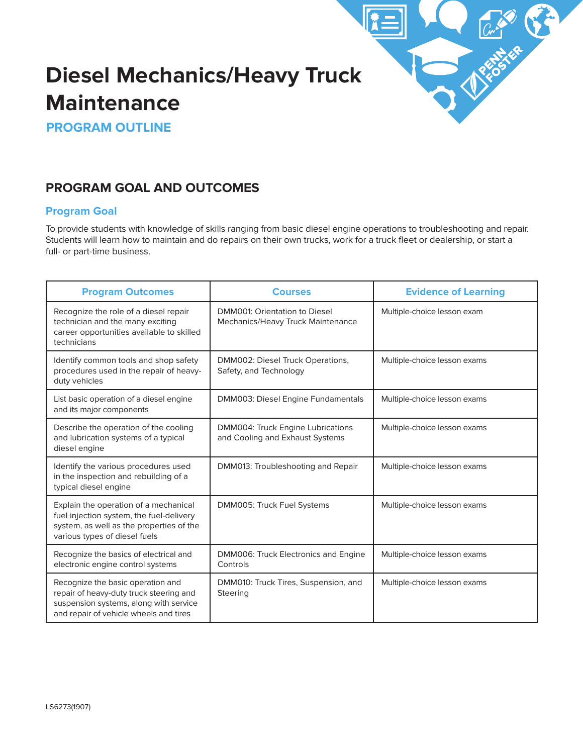

# **Diesel Mechanics/Heavy Truck Maintenance**

**PROGRAM OUTLINE**

# **PROGRAM GOAL AND OUTCOMES**

## **Program Goal**

To provide students with knowledge of skills ranging from basic diesel engine operations to troubleshooting and repair. Students will learn how to maintain and do repairs on their own trucks, work for a truck fleet or dealership, or start a full- or part-time business.

| <b>Program Outcomes</b>                                                                                                                                          | <b>Courses</b>                                                       | <b>Evidence of Learning</b>  |
|------------------------------------------------------------------------------------------------------------------------------------------------------------------|----------------------------------------------------------------------|------------------------------|
| Recognize the role of a diesel repair<br>technician and the many exciting<br>career opportunities available to skilled<br>technicians                            | DMM001: Orientation to Diesel<br>Mechanics/Heavy Truck Maintenance   | Multiple-choice lesson exam  |
| Identify common tools and shop safety<br>procedures used in the repair of heavy-<br>duty vehicles                                                                | DMM002: Diesel Truck Operations,<br>Safety, and Technology           | Multiple-choice lesson exams |
| List basic operation of a diesel engine<br>and its major components                                                                                              | DMM003: Diesel Engine Fundamentals                                   | Multiple-choice lesson exams |
| Describe the operation of the cooling<br>and lubrication systems of a typical<br>diesel engine                                                                   | DMM004: Truck Engine Lubrications<br>and Cooling and Exhaust Systems | Multiple-choice lesson exams |
| Identify the various procedures used<br>in the inspection and rebuilding of a<br>typical diesel engine                                                           | DMM013: Troubleshooting and Repair                                   | Multiple-choice lesson exams |
| Explain the operation of a mechanical<br>fuel injection system, the fuel-delivery<br>system, as well as the properties of the<br>various types of diesel fuels   | DMM005: Truck Fuel Systems                                           | Multiple-choice lesson exams |
| Recognize the basics of electrical and<br>electronic engine control systems                                                                                      | DMM006: Truck Electronics and Engine<br>Controls                     | Multiple-choice lesson exams |
| Recognize the basic operation and<br>repair of heavy-duty truck steering and<br>suspension systems, along with service<br>and repair of vehicle wheels and tires | DMM010: Truck Tires, Suspension, and<br>Steering                     | Multiple-choice lesson exams |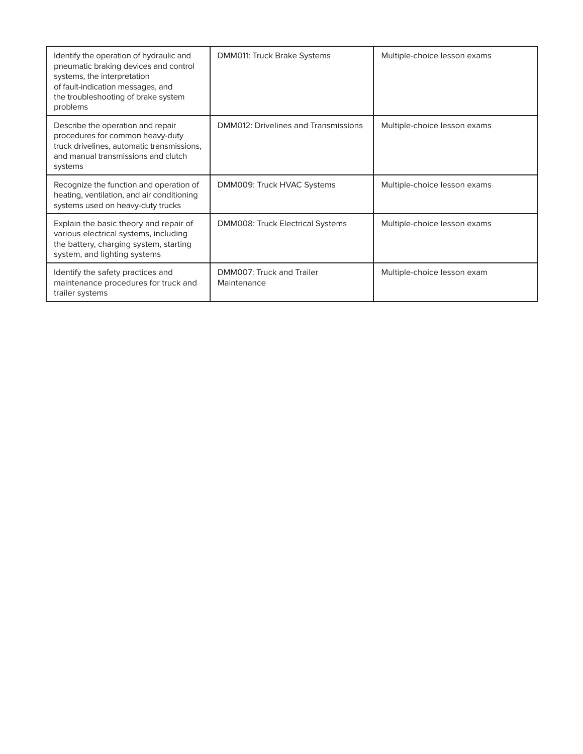| Identify the operation of hydraulic and<br>pneumatic braking devices and control<br>systems, the interpretation<br>of fault-indication messages, and<br>the troubleshooting of brake system<br>problems | <b>DMM011: Truck Brake Systems</b>       | Multiple-choice lesson exams |
|---------------------------------------------------------------------------------------------------------------------------------------------------------------------------------------------------------|------------------------------------------|------------------------------|
| Describe the operation and repair<br>procedures for common heavy-duty<br>truck drivelines, automatic transmissions,<br>and manual transmissions and clutch<br>systems                                   | DMM012: Drivelines and Transmissions     | Multiple-choice lesson exams |
| Recognize the function and operation of<br>heating, ventilation, and air conditioning<br>systems used on heavy-duty trucks                                                                              | DMM009: Truck HVAC Systems               | Multiple-choice lesson exams |
| Explain the basic theory and repair of<br>various electrical systems, including<br>the battery, charging system, starting<br>system, and lighting systems                                               | <b>DMM008: Truck Electrical Systems</b>  | Multiple-choice lesson exams |
| Identify the safety practices and<br>maintenance procedures for truck and<br>trailer systems                                                                                                            | DMM007: Truck and Trailer<br>Maintenance | Multiple-choice lesson exam  |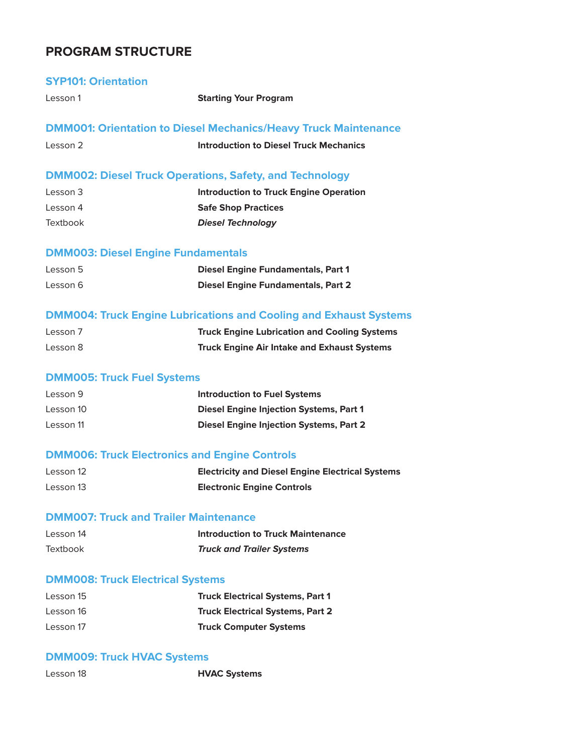# **PROGRAM STRUCTURE**

### **SYP101: Orientation**

Lesson 1 **Starting Your Program** 

### **DMM001: Orientation to Diesel Mechanics/Heavy Truck Maintenance**

| Lesson 2 | <b>Introduction to Diesel Truck Mechanics</b> |  |
|----------|-----------------------------------------------|--|
|          |                                               |  |

# **DMM002: Diesel Truck Operations, Safety, and Technology**

| Lesson 3        | Introduction to Truck Engine Operation |
|-----------------|----------------------------------------|
| Lesson 4        | <b>Safe Shop Practices</b>             |
| <b>Textbook</b> | <b>Diesel Technology</b>               |

# **DMM003: Diesel Engine Fundamentals**

| Lesson 5 | <b>Diesel Engine Fundamentals, Part 1</b> |
|----------|-------------------------------------------|
| Lesson 6 | <b>Diesel Engine Fundamentals, Part 2</b> |

### **DMM004: Truck Engine Lubrications and Cooling and Exhaust Systems**

| Lesson 7 | <b>Truck Engine Lubrication and Cooling Systems</b> |
|----------|-----------------------------------------------------|
| Lesson 8 | <b>Truck Engine Air Intake and Exhaust Systems</b>  |

### **DMM005: Truck Fuel Systems**

| Lesson 9  | <b>Introduction to Fuel Systems</b>            |
|-----------|------------------------------------------------|
| Lesson 10 | <b>Diesel Engine Injection Systems, Part 1</b> |
| Lesson 11 | <b>Diesel Engine Injection Systems, Part 2</b> |

### **DMM006: Truck Electronics and Engine Controls**

| Lesson 12 | <b>Electricity and Diesel Engine Electrical Systems</b> |
|-----------|---------------------------------------------------------|
| Lesson 13 | <b>Electronic Engine Controls</b>                       |

### **DMM007: Truck and Trailer Maintenance**

| Lesson 14       | <b>Introduction to Truck Maintenance</b> |
|-----------------|------------------------------------------|
| <b>Textbook</b> | <b>Truck and Trailer Systems</b>         |

### **DMM008: Truck Electrical Systems**

| Lesson 15 | <b>Truck Electrical Systems, Part 1</b> |
|-----------|-----------------------------------------|
| Lesson 16 | <b>Truck Electrical Systems, Part 2</b> |
| Lesson 17 | <b>Truck Computer Systems</b>           |

### **DMM009: Truck HVAC Systems**

| Lesson 18 | <b>HVAC Systems</b> |
|-----------|---------------------|
|-----------|---------------------|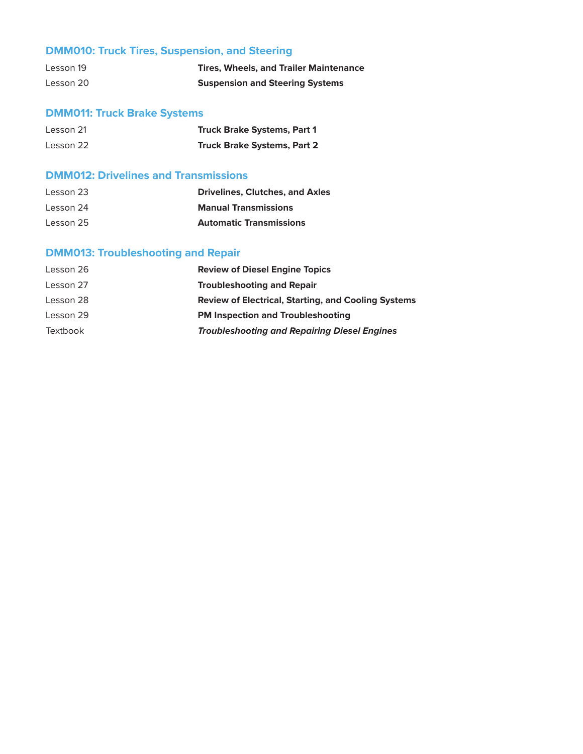# **DMM010: Truck Tires, Suspension, and Steering**

| Lesson 19 | <b>Tires. Wheels, and Trailer Maintenance</b> |
|-----------|-----------------------------------------------|
| Lesson 20 | <b>Suspension and Steering Systems</b>        |

# **DMM011: Truck Brake Systems**

| Lesson 21 | <b>Truck Brake Systems, Part 1</b> |
|-----------|------------------------------------|
| Lesson 22 | <b>Truck Brake Systems, Part 2</b> |

# **DMM012: Drivelines and Transmissions**

| Lesson 23 | <b>Drivelines, Clutches, and Axles</b> |
|-----------|----------------------------------------|
| Lesson 24 | <b>Manual Transmissions</b>            |
| Lesson 25 | <b>Automatic Transmissions</b>         |

# **DMM013: Troubleshooting and Repair**

| Lesson 26 | <b>Review of Diesel Engine Topics</b>                      |
|-----------|------------------------------------------------------------|
| Lesson 27 | <b>Troubleshooting and Repair</b>                          |
| Lesson 28 | <b>Review of Electrical, Starting, and Cooling Systems</b> |
| Lesson 29 | <b>PM Inspection and Troubleshooting</b>                   |
| Textbook  | <b>Troubleshooting and Repairing Diesel Engines</b>        |
|           |                                                            |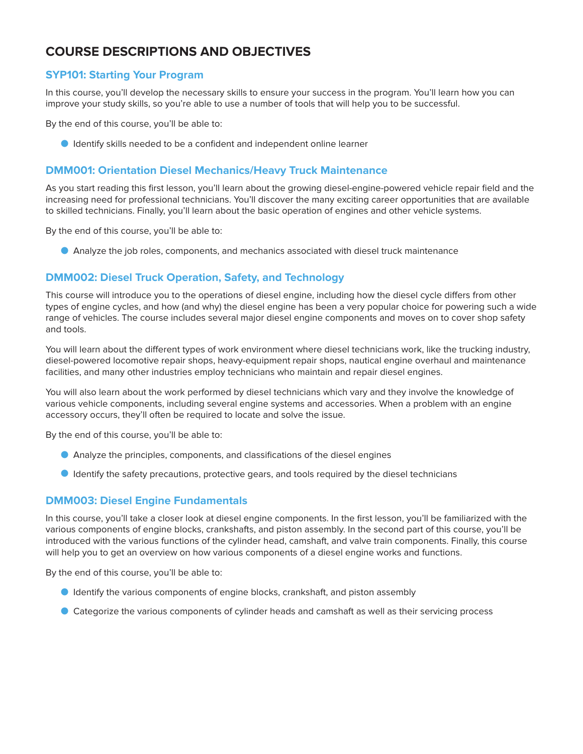# **COURSE DESCRIPTIONS AND OBJECTIVES**

### **SYP101: Starting Your Program**

In this course, you'll develop the necessary skills to ensure your success in the program. You'll learn how you can improve your study skills, so you're able to use a number of tools that will help you to be successful.

By the end of this course, you'll be able to:

O Identify skills needed to be a confident and independent online learner

### **DMM001: Orientation Diesel Mechanics/Heavy Truck Maintenance**

As you start reading this first lesson, you'll learn about the growing diesel-engine-powered vehicle repair field and the increasing need for professional technicians. You'll discover the many exciting career opportunities that are available to skilled technicians. Finally, you'll learn about the basic operation of engines and other vehicle systems.

By the end of this course, you'll be able to:

O Analyze the job roles, components, and mechanics associated with diesel truck maintenance

### **DMM002: Diesel Truck Operation, Safety, and Technology**

This course will introduce you to the operations of diesel engine, including how the diesel cycle differs from other types of engine cycles, and how (and why) the diesel engine has been a very popular choice for powering such a wide range of vehicles. The course includes several major diesel engine components and moves on to cover shop safety and tools.

You will learn about the different types of work environment where diesel technicians work, like the trucking industry, diesel-powered locomotive repair shops, heavy-equipment repair shops, nautical engine overhaul and maintenance facilities, and many other industries employ technicians who maintain and repair diesel engines.

You will also learn about the work performed by diesel technicians which vary and they involve the knowledge of various vehicle components, including several engine systems and accessories. When a problem with an engine accessory occurs, they'll often be required to locate and solve the issue.

By the end of this course, you'll be able to:

- O Analyze the principles, components, and classifications of the diesel engines
- O Identify the safety precautions, protective gears, and tools required by the diesel technicians

### **DMM003: Diesel Engine Fundamentals**

In this course, you'll take a closer look at diesel engine components. In the first lesson, you'll be familiarized with the various components of engine blocks, crankshafts, and piston assembly. In the second part of this course, you'll be introduced with the various functions of the cylinder head, camshaft, and valve train components. Finally, this course will help you to get an overview on how various components of a diesel engine works and functions.

By the end of this course, you'll be able to:

- O Identify the various components of engine blocks, crankshaft, and piston assembly
- O Categorize the various components of cylinder heads and camshaft as well as their servicing process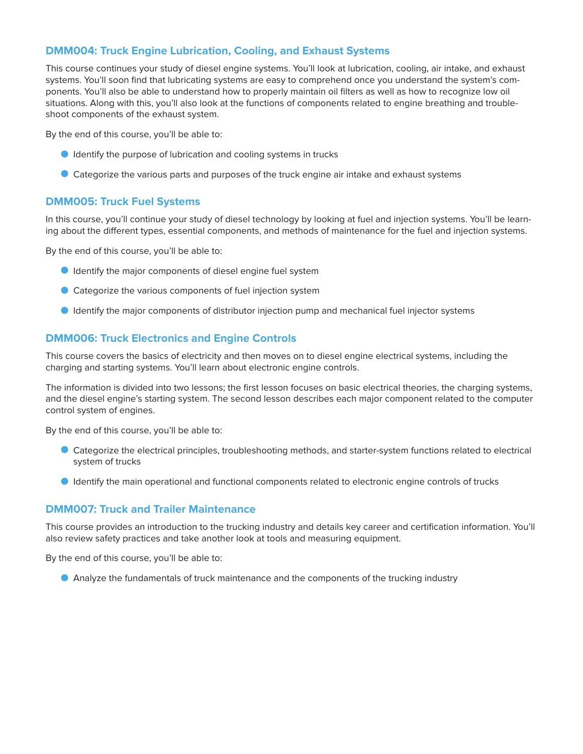### **DMM004: Truck Engine Lubrication, Cooling, and Exhaust Systems**

This course continues your study of diesel engine systems. You'll look at lubrication, cooling, air intake, and exhaust systems. You'll soon find that lubricating systems are easy to comprehend once you understand the system's components. You'll also be able to understand how to properly maintain oil filters as well as how to recognize low oil situations. Along with this, you'll also look at the functions of components related to engine breathing and troubleshoot components of the exhaust system.

By the end of this course, you'll be able to:

- O Identify the purpose of lubrication and cooling systems in trucks
- O Categorize the various parts and purposes of the truck engine air intake and exhaust systems

### **DMM005: Truck Fuel Systems**

In this course, you'll continue your study of diesel technology by looking at fuel and injection systems. You'll be learning about the different types, essential components, and methods of maintenance for the fuel and injection systems.

By the end of this course, you'll be able to:

- O Identify the major components of diesel engine fuel system
- O Categorize the various components of fuel injection system
- O Identify the major components of distributor injection pump and mechanical fuel injector systems

### **DMM006: Truck Electronics and Engine Controls**

This course covers the basics of electricity and then moves on to diesel engine electrical systems, including the charging and starting systems. You'll learn about electronic engine controls.

The information is divided into two lessons; the first lesson focuses on basic electrical theories, the charging systems, and the diesel engine's starting system. The second lesson describes each major component related to the computer control system of engines.

By the end of this course, you'll be able to:

- O Categorize the electrical principles, troubleshooting methods, and starter-system functions related to electrical system of trucks
- O Identify the main operational and functional components related to electronic engine controls of trucks

### **DMM007: Truck and Trailer Maintenance**

This course provides an introduction to the trucking industry and details key career and certification information. You'll also review safety practices and take another look at tools and measuring equipment.

By the end of this course, you'll be able to:

O Analyze the fundamentals of truck maintenance and the components of the trucking industry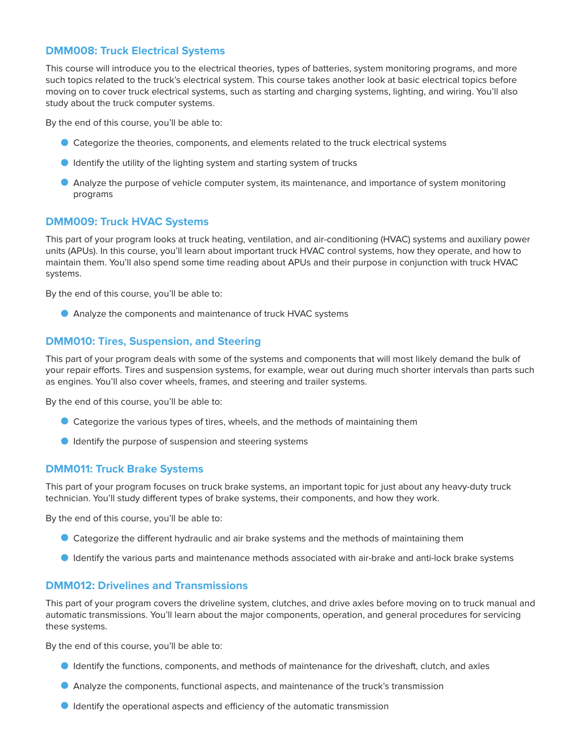### **DMM008: Truck Electrical Systems**

This course will introduce you to the electrical theories, types of batteries, system monitoring programs, and more such topics related to the truck's electrical system. This course takes another look at basic electrical topics before moving on to cover truck electrical systems, such as starting and charging systems, lighting, and wiring. You'll also study about the truck computer systems.

By the end of this course, you'll be able to:

- O Categorize the theories, components, and elements related to the truck electrical systems
- **O** Identify the utility of the lighting system and starting system of trucks
- O Analyze the purpose of vehicle computer system, its maintenance, and importance of system monitoring programs

#### **DMM009: Truck HVAC Systems**

This part of your program looks at truck heating, ventilation, and air-conditioning (HVAC) systems and auxiliary power units (APUs). In this course, you'll learn about important truck HVAC control systems, how they operate, and how to maintain them. You'll also spend some time reading about APUs and their purpose in conjunction with truck HVAC systems.

By the end of this course, you'll be able to:

O Analyze the components and maintenance of truck HVAC systems

#### **DMM010: Tires, Suspension, and Steering**

This part of your program deals with some of the systems and components that will most likely demand the bulk of your repair efforts. Tires and suspension systems, for example, wear out during much shorter intervals than parts such as engines. You'll also cover wheels, frames, and steering and trailer systems.

By the end of this course, you'll be able to:

- O Categorize the various types of tires, wheels, and the methods of maintaining them
- O Identify the purpose of suspension and steering systems

#### **DMM011: Truck Brake Systems**

This part of your program focuses on truck brake systems, an important topic for just about any heavy-duty truck technician. You'll study different types of brake systems, their components, and how they work.

By the end of this course, you'll be able to:

- O Categorize the different hydraulic and air brake systems and the methods of maintaining them
- O Identify the various parts and maintenance methods associated with air-brake and anti-lock brake systems

### **DMM012: Drivelines and Transmissions**

This part of your program covers the driveline system, clutches, and drive axles before moving on to truck manual and automatic transmissions. You'll learn about the major components, operation, and general procedures for servicing these systems.

By the end of this course, you'll be able to:

- O Identify the functions, components, and methods of maintenance for the driveshaft, clutch, and axles
- O Analyze the components, functional aspects, and maintenance of the truck's transmission
- O Identify the operational aspects and efficiency of the automatic transmission